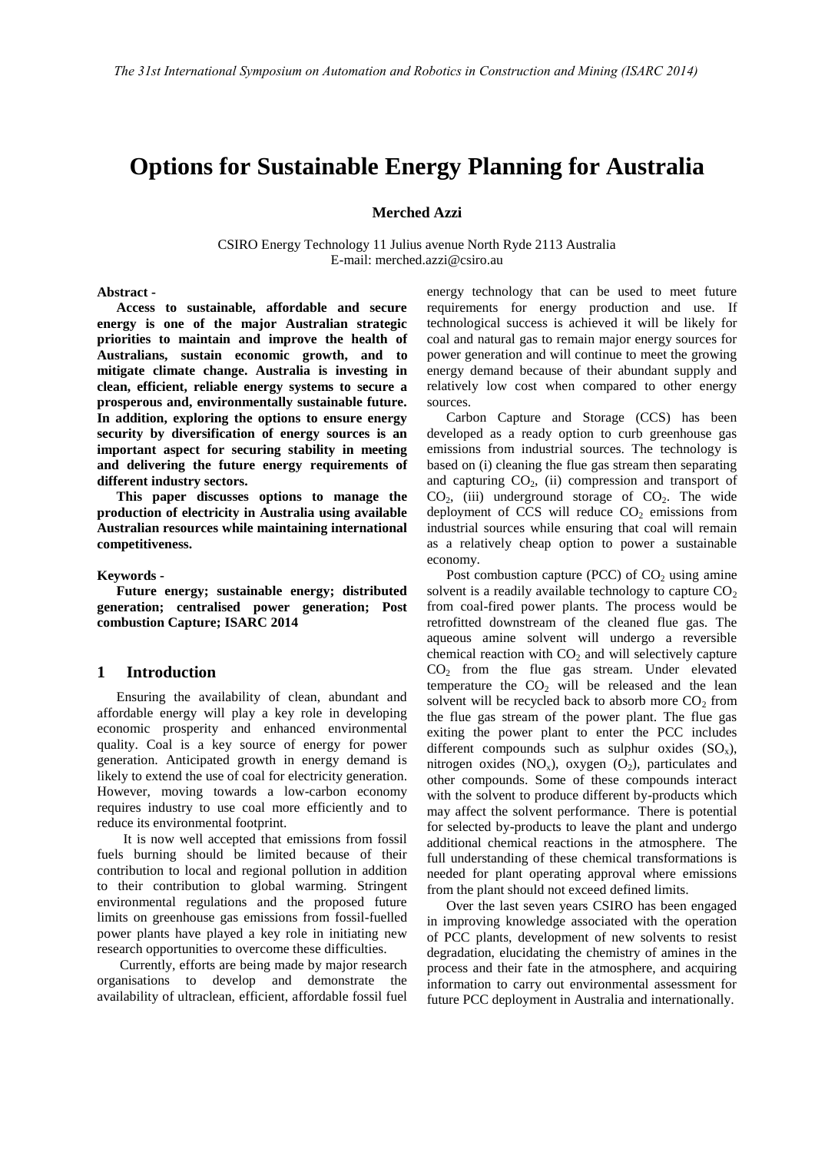# **Options for Sustainable Energy Planning for Australia**

#### **Merched Azzi**

CSIRO Energy Technology 11 Julius avenue North Ryde 2113 Australia E-mail: merched.azzi@csiro.au

## **Abstract -**

**Access to sustainable, affordable and secure energy is one of the major Australian strategic priorities to maintain and improve the health of Australians, sustain economic growth, and to mitigate climate change. Australia is investing in clean, efficient, reliable energy systems to secure a prosperous and, environmentally sustainable future. In addition, exploring the options to ensure energy security by diversification of energy sources is an important aspect for securing stability in meeting and delivering the future energy requirements of different industry sectors.** 

**This paper discusses options to manage the production of electricity in Australia using available Australian resources while maintaining international competitiveness.** 

#### **Keywords -**

**Future energy; sustainable energy; distributed generation; centralised power generation; Post combustion Capture; ISARC 2014** 

#### **1 Introduction**

Ensuring the availability of clean, abundant and affordable energy will play a key role in developing economic prosperity and enhanced environmental quality. Coal is a key source of energy for power generation. Anticipated growth in energy demand is likely to extend the use of coal for electricity generation. However, moving towards a low-carbon economy requires industry to use coal more efficiently and to reduce its environmental footprint.

 It is now well accepted that emissions from fossil fuels burning should be limited because of their contribution to local and regional pollution in addition to their contribution to global warming. Stringent environmental regulations and the proposed future limits on greenhouse gas emissions from fossil-fuelled power plants have played a key role in initiating new research opportunities to overcome these difficulties.

 Currently, efforts are being made by major research organisations to develop and demonstrate the availability of ultraclean, efficient, affordable fossil fuel energy technology that can be used to meet future requirements for energy production and use. If technological success is achieved it will be likely for coal and natural gas to remain major energy sources for power generation and will continue to meet the growing energy demand because of their abundant supply and relatively low cost when compared to other energy sources.

Carbon Capture and Storage (CCS) has been developed as a ready option to curb greenhouse gas emissions from industrial sources. The technology is based on (i) cleaning the flue gas stream then separating and capturing  $CO<sub>2</sub>$ , (ii) compression and transport of  $CO<sub>2</sub>$ , (iii) underground storage of  $CO<sub>2</sub>$ . The wide deployment of CCS will reduce  $CO<sub>2</sub>$  emissions from industrial sources while ensuring that coal will remain as a relatively cheap option to power a sustainable economy.

Post combustion capture (PCC) of  $CO<sub>2</sub>$  using amine solvent is a readily available technology to capture  $CO<sub>2</sub>$ from coal-fired power plants. The process would be retrofitted downstream of the cleaned flue gas. The aqueous amine solvent will undergo a reversible chemical reaction with  $CO<sub>2</sub>$  and will selectively capture CO<sup>2</sup> from the flue gas stream. Under elevated temperature the  $CO<sub>2</sub>$  will be released and the lean solvent will be recycled back to absorb more  $CO<sub>2</sub>$  from the flue gas stream of the power plant. The flue gas exiting the power plant to enter the PCC includes different compounds such as sulphur oxides  $(SO_x)$ , nitrogen oxides  $(NO_x)$ , oxygen  $(O_2)$ , particulates and other compounds. Some of these compounds interact with the solvent to produce different by-products which may affect the solvent performance. There is potential for selected by-products to leave the plant and undergo additional chemical reactions in the atmosphere. The full understanding of these chemical transformations is needed for plant operating approval where emissions from the plant should not exceed defined limits.

Over the last seven years CSIRO has been engaged in improving knowledge associated with the operation of PCC plants, development of new solvents to resist degradation, elucidating the chemistry of amines in the process and their fate in the atmosphere, and acquiring information to carry out environmental assessment for future PCC deployment in Australia and internationally.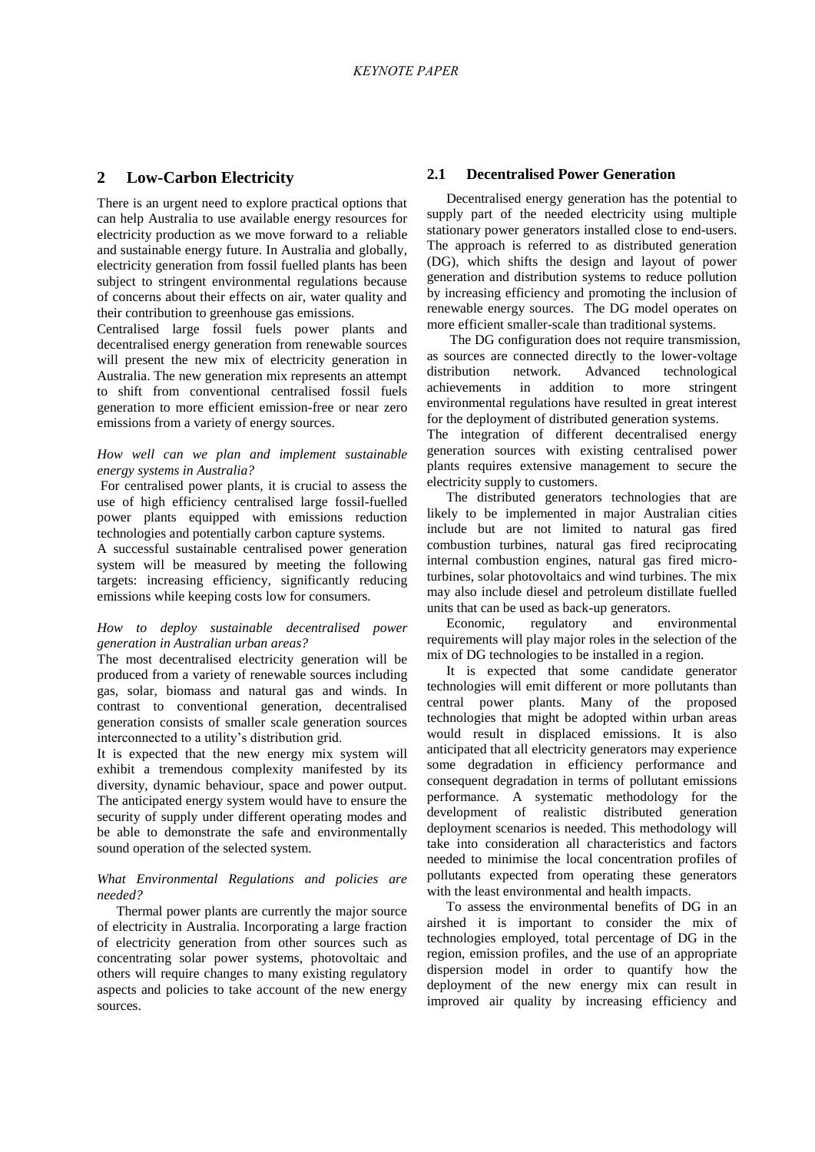## **2 Low-Carbon Electricity**

There is an urgent need to explore practical options that can help Australia to use available energy resources for electricity production as we move forward to a reliable and sustainable energy future. In Australia and globally, electricity generation from fossil fuelled plants has been subject to stringent environmental regulations because of concerns about their effects on air, water quality and their contribution to greenhouse gas emissions.

Centralised large fossil fuels power plants and decentralised energy generation from renewable sources will present the new mix of electricity generation in Australia. The new generation mix represents an attempt to shift from conventional centralised fossil fuels generation to more efficient emission-free or near zero emissions from a variety of energy sources.

#### *How well can we plan and implement sustainable energy systems in Australia?*

For centralised power plants, it is crucial to assess the use of high efficiency centralised large fossil-fuelled power plants equipped with emissions reduction technologies and potentially carbon capture systems.

A successful sustainable centralised power generation system will be measured by meeting the following targets: increasing efficiency, significantly reducing emissions while keeping costs low for consumers.

### *How to deploy sustainable decentralised power generation in Australian urban areas?*

The most decentralised electricity generation will be produced from a variety of renewable sources including gas, solar, biomass and natural gas and winds. In contrast to conventional generation, decentralised generation consists of smaller scale generation sources interconnected to a utility's distribution grid.

It is expected that the new energy mix system will exhibit a tremendous complexity manifested by its diversity, dynamic behaviour, space and power output. The anticipated energy system would have to ensure the security of supply under different operating modes and be able to demonstrate the safe and environmentally sound operation of the selected system.

#### *What Environmental Regulations and policies are needed?*

Thermal power plants are currently the major source of electricity in Australia. Incorporating a large fraction of electricity generation from other sources such as concentrating solar power systems, photovoltaic and others will require changes to many existing regulatory aspects and policies to take account of the new energy sources.

## **2.1 Decentralised Power Generation**

Decentralised energy generation has the potential to supply part of the needed electricity using multiple stationary power generators installed close to end-users. The approach is referred to as distributed generation (DG), which shifts the design and layout of power generation and distribution systems to reduce pollution by increasing efficiency and promoting the inclusion of renewable energy sources. The DG model operates on more efficient smaller-scale than traditional systems.

 The DG configuration does not require transmission, as sources are connected directly to the lower-voltage distribution network. Advanced technological achievements in addition to more stringent environmental regulations have resulted in great interest for the deployment of distributed generation systems.

The integration of different decentralised energy generation sources with existing centralised power plants requires extensive management to secure the electricity supply to customers.

The distributed generators technologies that are likely to be implemented in major Australian cities include but are not limited to natural gas fired combustion turbines, natural gas fired reciprocating internal combustion engines, natural gas fired microturbines, solar photovoltaics and wind turbines. The mix may also include diesel and petroleum distillate fuelled units that can be used as back-up generators.

Economic, regulatory and environmental requirements will play major roles in the selection of the mix of DG technologies to be installed in a region.

It is expected that some candidate generator technologies will emit different or more pollutants than central power plants. Many of the proposed technologies that might be adopted within urban areas would result in displaced emissions. It is also anticipated that all electricity generators may experience some degradation in efficiency performance and consequent degradation in terms of pollutant emissions performance. A systematic methodology for the development of realistic distributed generation deployment scenarios is needed. This methodology will take into consideration all characteristics and factors needed to minimise the local concentration profiles of pollutants expected from operating these generators with the least environmental and health impacts.

To assess the environmental benefits of DG in an airshed it is important to consider the mix of technologies employed, total percentage of DG in the region, emission profiles, and the use of an appropriate dispersion model in order to quantify how the deployment of the new energy mix can result in improved air quality by increasing efficiency and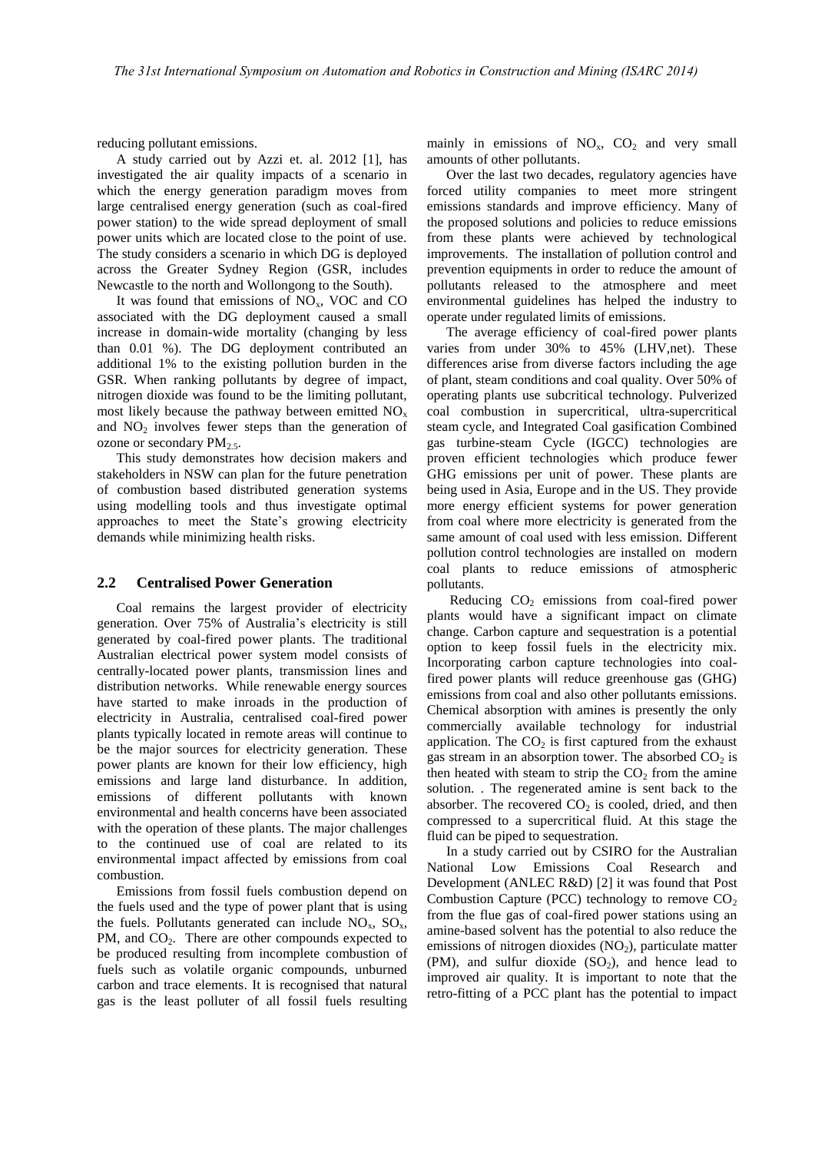reducing pollutant emissions.

A study carried out by Azzi et. al. 2012 [1], has investigated the air quality impacts of a scenario in which the energy generation paradigm moves from large centralised energy generation (such as coal-fired power station) to the wide spread deployment of small power units which are located close to the point of use. The study considers a scenario in which DG is deployed across the Greater Sydney Region (GSR, includes Newcastle to the north and Wollongong to the South).

It was found that emissions of  $NO<sub>x</sub>$ , VOC and CO associated with the DG deployment caused a small increase in domain-wide mortality (changing by less than 0.01 %). The DG deployment contributed an additional 1% to the existing pollution burden in the GSR. When ranking pollutants by degree of impact, nitrogen dioxide was found to be the limiting pollutant, most likely because the pathway between emitted  $NO<sub>x</sub>$ and  $NO<sub>2</sub>$  involves fewer steps than the generation of ozone or secondary  $PM_2$ .

This study demonstrates how decision makers and stakeholders in NSW can plan for the future penetration of combustion based distributed generation systems using modelling tools and thus investigate optimal approaches to meet the State's growing electricity demands while minimizing health risks.

#### **2.2 Centralised Power Generation**

Coal remains the largest provider of electricity generation. Over 75% of Australia's electricity is still generated by coal-fired power plants. The traditional Australian electrical power system model consists of centrally-located power plants, transmission lines and distribution networks. While renewable energy sources have started to make inroads in the production of electricity in Australia, centralised coal-fired power plants typically located in remote areas will continue to be the major sources for electricity generation. These power plants are known for their low efficiency, high emissions and large land disturbance. In addition, emissions of different pollutants with known environmental and health concerns have been associated with the operation of these plants. The major challenges to the continued use of coal are related to its environmental impact affected by emissions from coal combustion.

Emissions from fossil fuels combustion depend on the fuels used and the type of power plant that is using the fuels. Pollutants generated can include  $NO_x$ ,  $SO_x$ , PM, and CO<sub>2</sub>. There are other compounds expected to be produced resulting from incomplete combustion of fuels such as volatile organic compounds, unburned carbon and trace elements. It is recognised that natural gas is the least polluter of all fossil fuels resulting mainly in emissions of  $NO<sub>x</sub>$ ,  $CO<sub>2</sub>$  and very small amounts of other pollutants.

Over the last two decades, regulatory agencies have forced utility companies to meet more stringent emissions standards and improve efficiency. Many of the proposed solutions and policies to reduce emissions from these plants were achieved by technological improvements. The installation of pollution control and prevention equipments in order to reduce the amount of pollutants released to the atmosphere and meet environmental guidelines has helped the industry to operate under regulated limits of emissions.

The average efficiency of coal-fired power plants varies from under 30% to 45% (LHV,net). These differences arise from diverse factors including the age of plant, steam conditions and coal quality. Over 50% of operating plants use subcritical technology. Pulverized coal combustion in supercritical, ultra-supercritical steam cycle, and Integrated Coal gasification Combined gas turbine-steam Cycle (IGCC) technologies are proven efficient technologies which produce fewer GHG emissions per unit of power. These plants are being used in Asia, Europe and in the US. They provide more energy efficient systems for power generation from coal where more electricity is generated from the same amount of coal used with less emission. Different pollution control technologies are installed on modern coal plants to reduce emissions of atmospheric pollutants.

Reducing  $CO<sub>2</sub>$  emissions from coal-fired power plants would have a significant impact on climate change. Carbon capture and sequestration is a potential option to keep fossil fuels in the electricity mix. Incorporating carbon capture technologies into coalfired power plants will reduce greenhouse gas (GHG) emissions from coal and also other pollutants emissions. Chemical absorption with amines is presently the only commercially available technology for industrial application. The  $CO<sub>2</sub>$  is first captured from the exhaust gas stream in an absorption tower. The absorbed  $CO<sub>2</sub>$  is then heated with steam to strip the  $CO<sub>2</sub>$  from the amine solution. . The regenerated amine is sent back to the absorber. The recovered  $CO<sub>2</sub>$  is cooled, dried, and then compressed to a supercritical fluid. At this stage the fluid can be piped to sequestration.

In a study carried out by CSIRO for the Australian National Low Emissions Coal Research and Development (ANLEC R&D) [2] it was found that Post Combustion Capture (PCC) technology to remove  $CO<sub>2</sub>$ from the flue gas of coal-fired power stations using an amine-based solvent has the potential to also reduce the emissions of nitrogen dioxides  $(NO<sub>2</sub>)$ , particulate matter (PM), and sulfur dioxide  $(SO<sub>2</sub>)$ , and hence lead to improved air quality. It is important to note that the retro-fitting of a PCC plant has the potential to impact